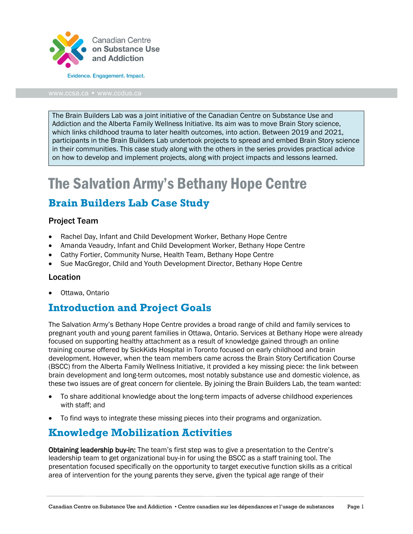

The Brain Builders Lab was a joint initiative of the Canadian Centre on Substance Use and Addiction and the Alberta Family Wellness Initiative. Its aim was to move Brain Story science, which links childhood trauma to later health outcomes, into action. Between 2019 and 2021, participants in the Brain Builders Lab undertook projects to spread and embed Brain Story science in their communities. This case study along with the others in the series provides practical advice on how to develop and implement projects, along with project impacts and lessons learned.

# The Salvation Army's Bethany Hope Centre

## **Brain Builders Lab Case Study**

#### Project Team

- Rachel Day, Infant and Child Development Worker, Bethany Hope Centre
- Amanda Veaudry, Infant and Child Development Worker, Bethany Hope Centre
- Cathy Fortier, Community Nurse, Health Team, Bethany Hope Centre
- Sue MacGregor, Child and Youth Development Director, Bethany Hope Centre

#### Location

• Ottawa, Ontario

#### **Introduction and Project Goals**

The Salvation Army's Bethany Hope Centre provides a broad range of child and family services to pregnant youth and young parent families in Ottawa, Ontario. Services at Bethany Hope were already focused on supporting healthy attachment as a result of knowledge gained through an online training course offered by SickKids Hospital in Toronto focused on early childhood and brain development. However, when the team members came across the Brain Story Certification Course (BSCC) from the Alberta Family Wellness Initiative, it provided a key missing piece: the link between brain development and long-term outcomes, most notably substance use and domestic violence, as these two issues are of great concern for clientele. By joining the Brain Builders Lab, the team wanted:

- To share additional knowledge about the long-term impacts of adverse childhood experiences with staff; and
- To find ways to integrate these missing pieces into their programs and organization.

#### **Knowledge Mobilization Activities**

Obtaining leadership buy-in: The team's first step was to give a presentation to the Centre's leadership team to get organizational buy-in for using the BSCC as a staff training tool. The presentation focused specifically on the opportunity to target executive function skills as a critical area of intervention for the young parents they serve, given the typical age range of their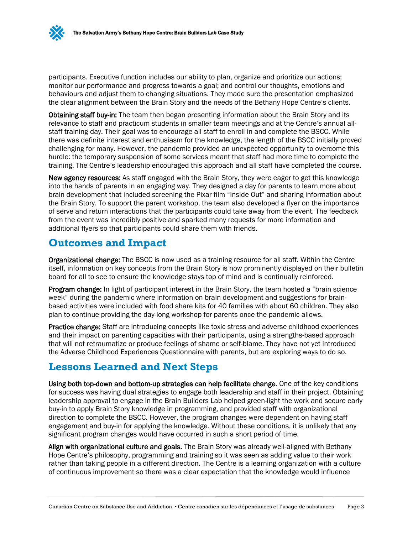participants. Executive function includes our ability to plan, organize and prioritize our actions; monitor our performance and progress towards a goal; and control our thoughts, emotions and behaviours and adjust them to changing situations. They made sure the presentation emphasized the clear alignment between the Brain Story and the needs of the Bethany Hope Centre's clients.

Obtaining staff buy-in: The team then began presenting information about the Brain Story and its relevance to staff and practicum students in smaller team meetings and at the Centre's annual allstaff training day. Their goal was to encourage all staff to enroll in and complete the BSCC. While there was definite interest and enthusiasm for the knowledge, the length of the BSCC initially proved challenging for many. However, the pandemic provided an unexpected opportunity to overcome this hurdle: the temporary suspension of some services meant that staff had more time to complete the training. The Centre's leadership encouraged this approach and all staff have completed the course.

New agency resources: As staff engaged with the Brain Story, they were eager to get this knowledge into the hands of parents in an engaging way. They designed a day for parents to learn more about brain development that included screening the Pixar film "Inside Out" and sharing information about the Brain Story. To support the parent workshop, the team also developed a flyer on the importance of serve and return interactions that the participants could take away from the event. The feedback from the event was incredibly positive and sparked many requests for more information and additional flyers so that participants could share them with friends.

## **Outcomes and Impact**

Organizational change: The BSCC is now used as a training resource for all staff. Within the Centre itself, information on key concepts from the Brain Story is now prominently displayed on their bulletin board for all to see to ensure the knowledge stays top of mind and is continually reinforced.

Program change: In light of participant interest in the Brain Story, the team hosted a "brain science week" during the pandemic where information on brain development and suggestions for brainbased activities were included with food share kits for 40 families with about 60 children. They also plan to continue providing the day-long workshop for parents once the pandemic allows.

Practice change: Staff are introducing concepts like toxic stress and adverse childhood experiences and their impact on parenting capacities with their participants, using a strengths-based approach that will not retraumatize or produce feelings of shame or self-blame. They have not yet introduced the Adverse Childhood Experiences Questionnaire with parents, but are exploring ways to do so.

# **Lessons Learned and Next Steps**

Using both top-down and bottom-up strategies can help facilitate change. One of the key conditions for success was having dual strategies to engage both leadership and staff in their project. Obtaining leadership approval to engage in the Brain Builders Lab helped green-light the work and secure early buy-in to apply Brain Story knowledge in programming, and provided staff with organizational direction to complete the BSCC. However, the program changes were dependent on having staff engagement and buy-in for applying the knowledge. Without these conditions, it is unlikely that any significant program changes would have occurred in such a short period of time.

Align with organizational culture and goals. The Brain Story was already well-aligned with Bethany Hope Centre's philosophy, programming and training so it was seen as adding value to their work rather than taking people in a different direction. The Centre is a learning organization with a culture of continuous improvement so there was a clear expectation that the knowledge would influence